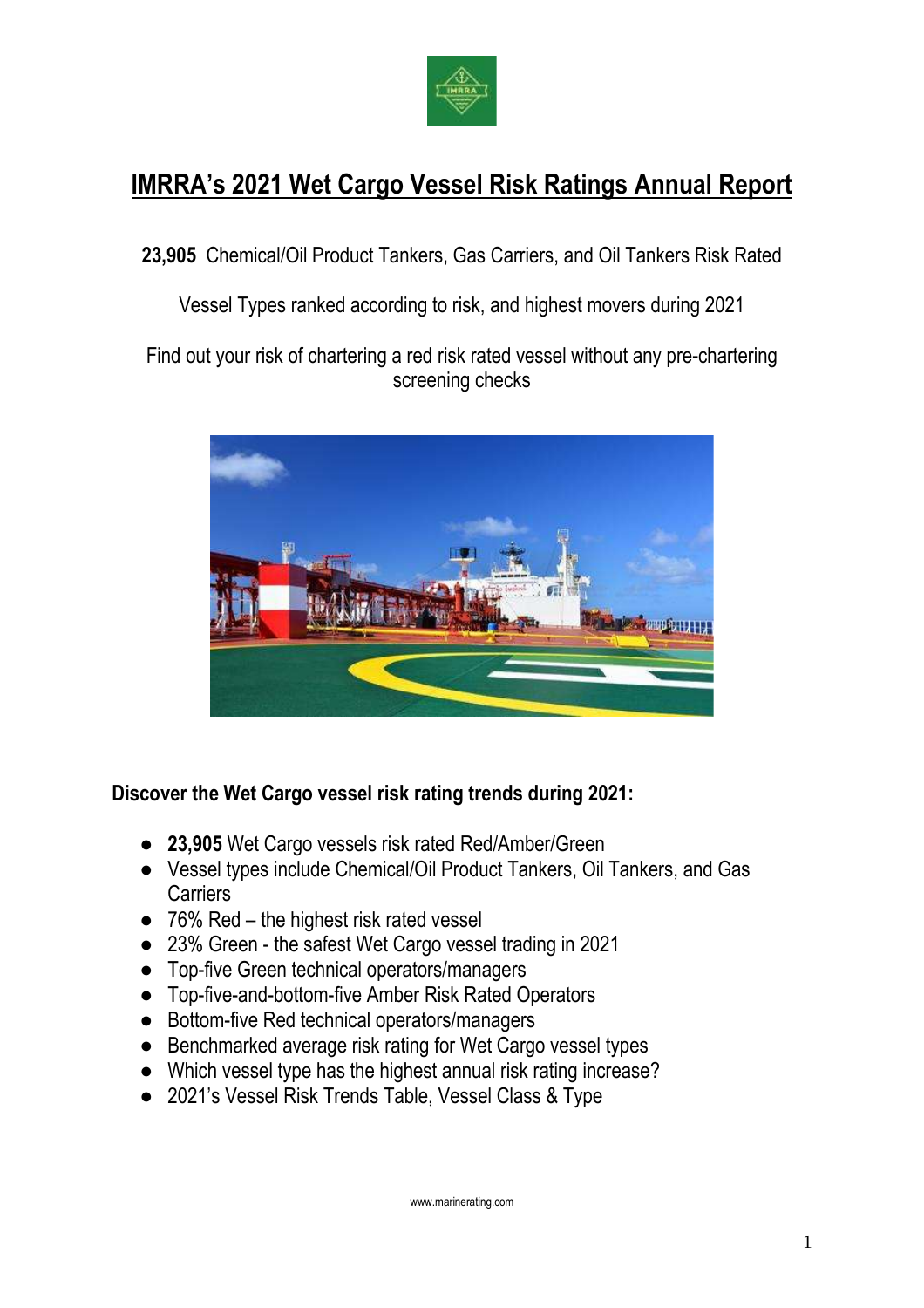

# **IMRRA's 2021 Wet Cargo Vessel Risk Ratings Annual Report**

**23,905** Chemical/Oil Product Tankers, Gas Carriers, and Oil Tankers Risk Rated

Vessel Types ranked according to risk, and highest movers during 2021

Find out your risk of chartering a red risk rated vessel without any pre-chartering screening checks



## **Discover the Wet Cargo vessel risk rating trends during 2021:**

- **23,905** Wet Cargo vessels risk rated Red/Amber/Green
- Vessel types include Chemical/Oil Product Tankers, Oil Tankers, and Gas **Carriers**
- $\bullet$  76% Red the highest risk rated vessel
- 23% Green the safest Wet Cargo vessel trading in 2021
- Top-five Green technical operators/managers
- Top-five-and-bottom-five Amber Risk Rated Operators
- Bottom-five Red technical operators/managers
- Benchmarked average risk rating for Wet Cargo vessel types
- Which vessel type has the highest annual risk rating increase?
- 2021's Vessel Risk Trends Table, Vessel Class & Type

www.marinerating.com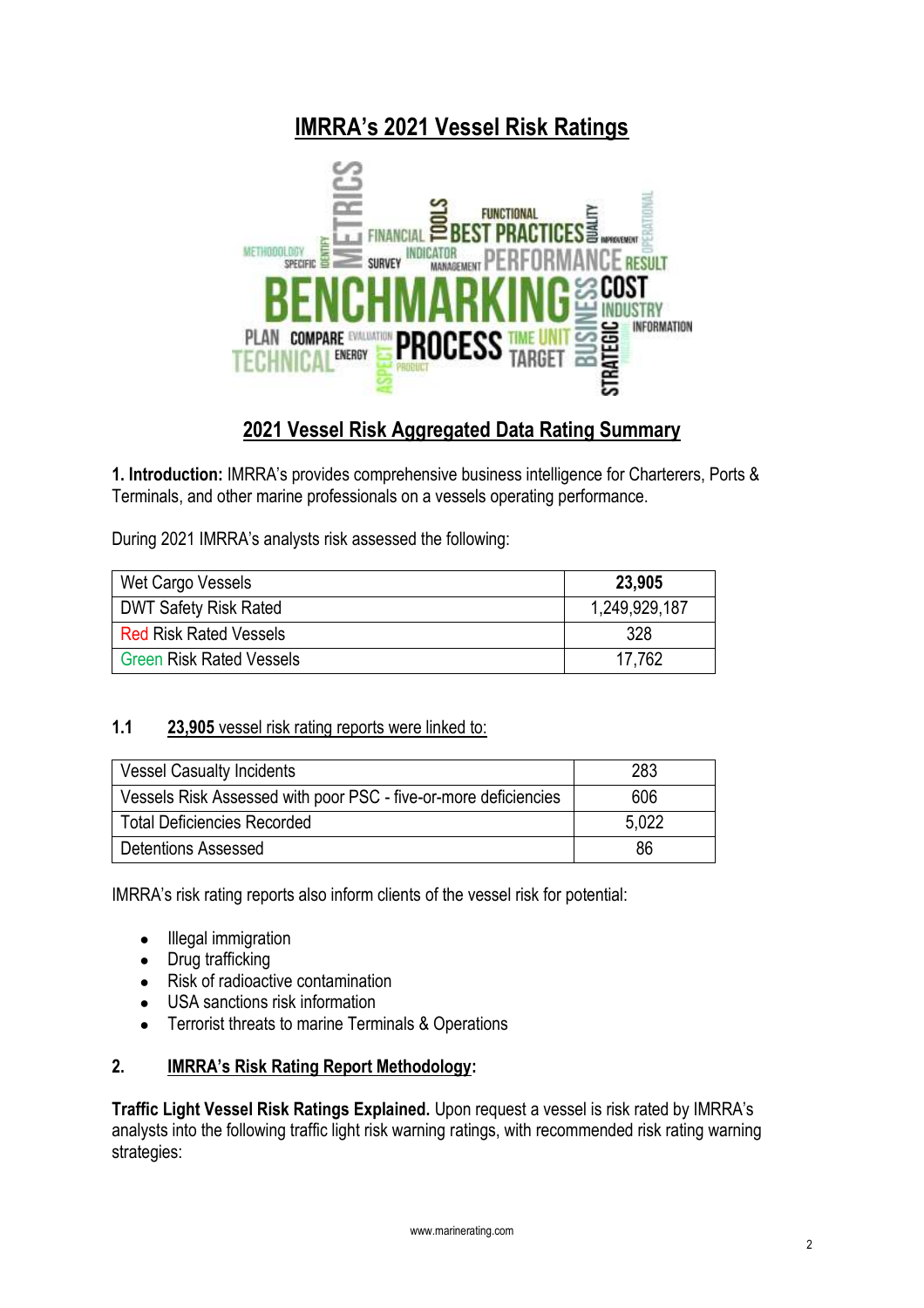## **IMRRA's 2021 Vessel Risk Ratings**



## **2021 Vessel Risk Aggregated Data Rating Summary**

**1. Introduction:** IMRRA's provides comprehensive business intelligence for Charterers, Ports & Terminals, and other marine professionals on a vessels operating performance.

During 2021 IMRRA's analysts risk assessed the following:

| Wet Cargo Vessels               | 23,905        |
|---------------------------------|---------------|
| <b>DWT Safety Risk Rated</b>    | 1,249,929,187 |
| <b>Red Risk Rated Vessels</b>   | 328           |
| <b>Green Risk Rated Vessels</b> | 17.762        |

#### **1.1 23,905** vessel risk rating reports were linked to:

| Vessel Casualty Incidents                                       | 283   |
|-----------------------------------------------------------------|-------|
| Vessels Risk Assessed with poor PSC - five-or-more deficiencies | 606   |
| <b>Total Deficiencies Recorded</b>                              | 5.022 |
| Detentions Assessed                                             | 86    |

IMRRA's risk rating reports also inform clients of the vessel risk for potential:

- Illegal immigration
- Drug trafficking
- Risk of radioactive contamination
- USA sanctions risk information
- Terrorist threats to marine Terminals & Operations

## **2. IMRRA's Risk Rating Report Methodology:**

**Traffic Light Vessel Risk Ratings Explained.** Upon request a vessel is risk rated by IMRRA's analysts into the following traffic light risk warning ratings, with recommended risk rating warning strategies: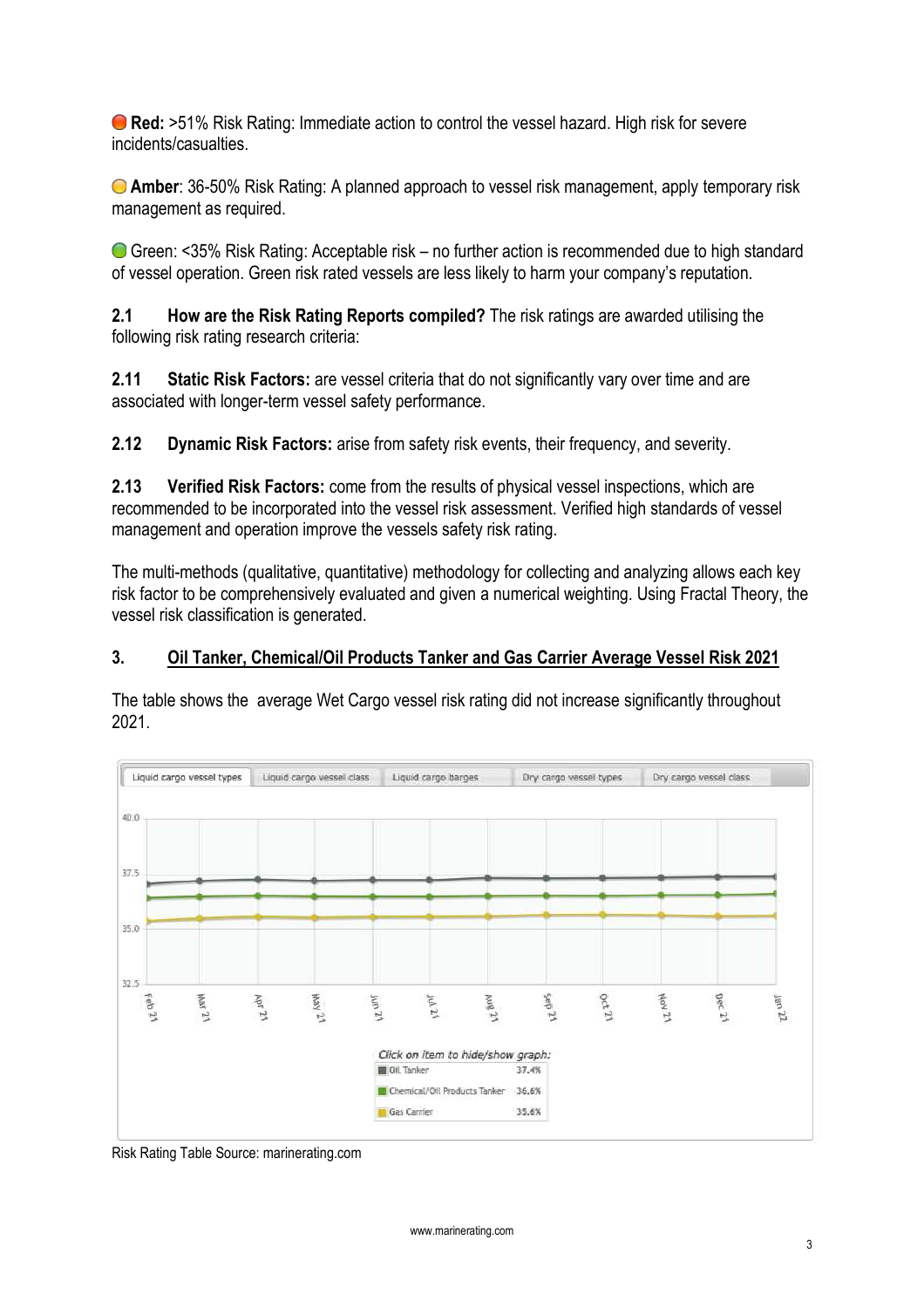**Red:** >51% Risk Rating: Immediate action to control the vessel hazard. High risk for severe incidents/casualties.

**Amber**: 36-50% Risk Rating: A planned approach to vessel risk management, apply temporary risk management as required.

Green: <35% Risk Rating: Acceptable risk – no further action is recommended due to high standard of vessel operation. Green risk rated vessels are less likely to harm your company's reputation.

**2.1 How are the Risk Rating Reports compiled?** The risk ratings are awarded utilising the following risk rating research criteria:

**2.11 Static Risk Factors:** are vessel criteria that do not significantly vary over time and are associated with longer-term vessel safety performance.

**2.12 Dynamic Risk Factors:** arise from safety risk events, their frequency, and severity.

**2.13 Verified Risk Factors:** come from the results of physical vessel inspections, which are recommended to be incorporated into the vessel risk assessment. Verified high standards of vessel management and operation improve the vessels safety risk rating.

The multi-methods (qualitative, quantitative) methodology for collecting and analyzing allows each key risk factor to be comprehensively evaluated and given a numerical weighting. Using Fractal Theory, the vessel risk classification is generated.

#### **3. Oil Tanker, Chemical/Oil Products Tanker and Gas Carrier Average Vessel Risk 2021**

The table shows the average Wet Cargo vessel risk rating did not increase significantly throughout 2021.



Risk Rating Table Source: marinerating.com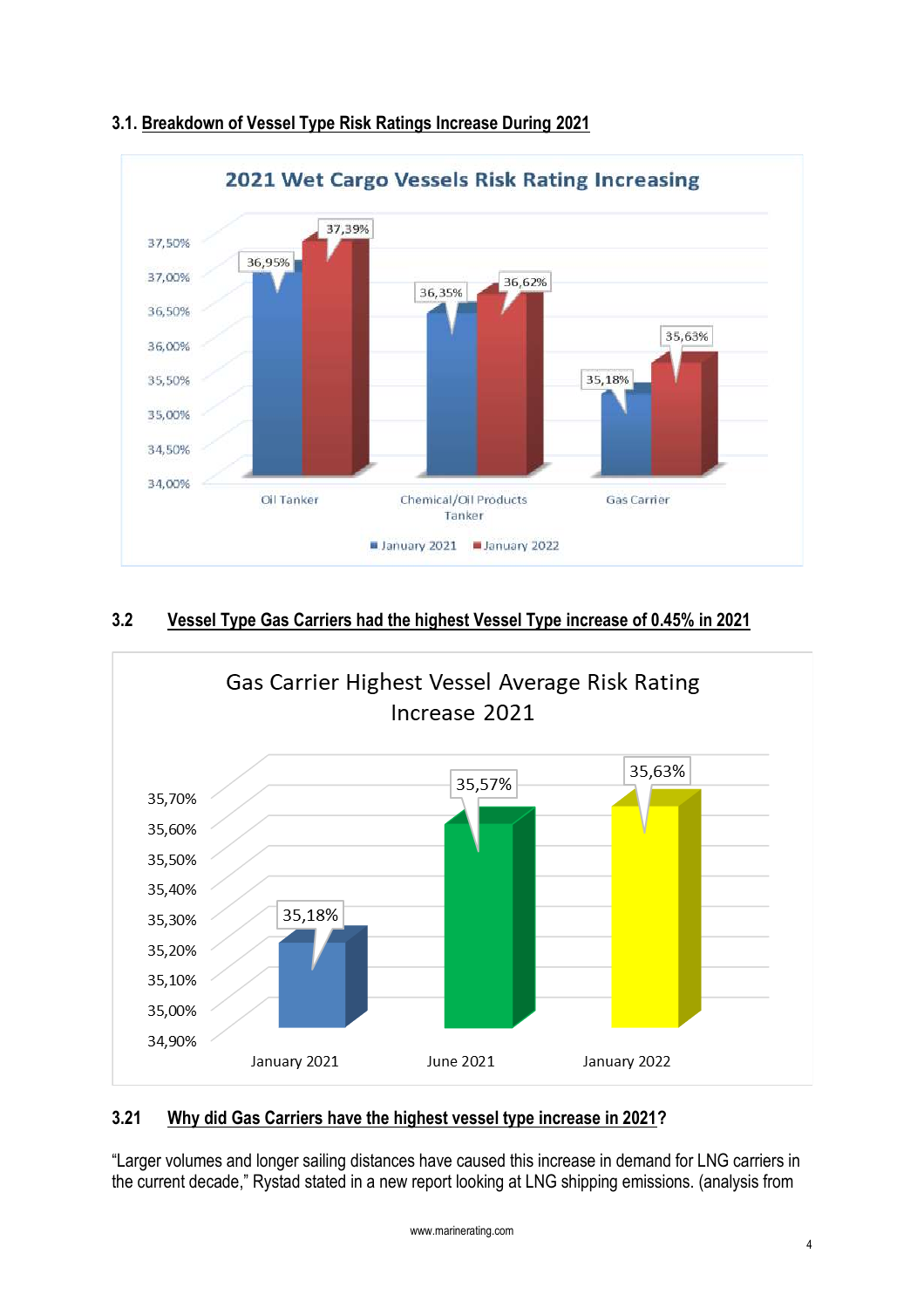

## **3.1. Breakdown of Vessel Type Risk Ratings Increase During 2021**

## **3.2 Vessel Type Gas Carriers had the highest Vessel Type increase of 0.45% in 2021**



## **3.21 Why did Gas Carriers have the highest vessel type increase in 2021?**

"Larger volumes and longer sailing distances have caused this increase in demand for LNG carriers in the current decade," Rystad stated in a new report looking at LNG shipping emissions. (analysis from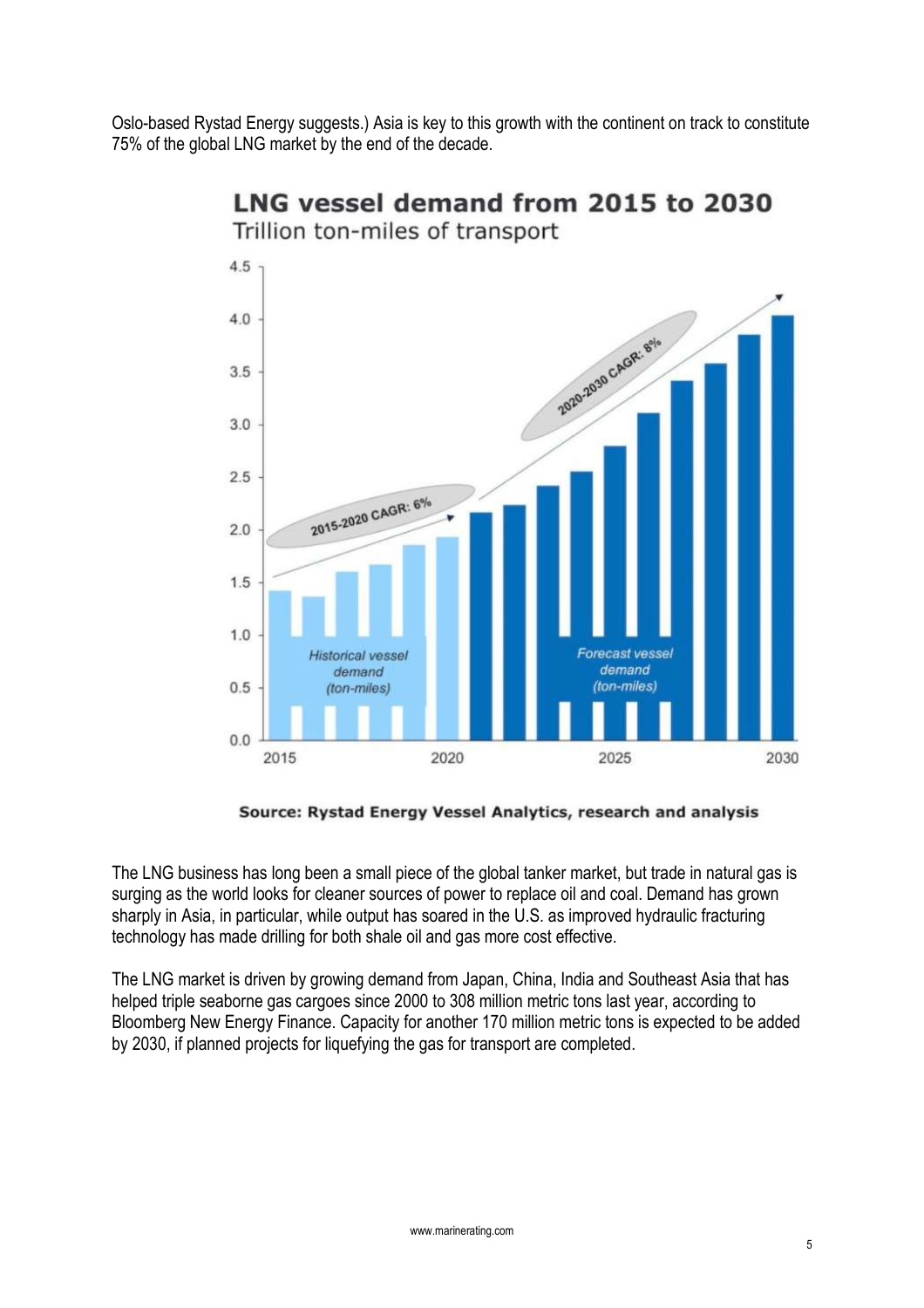Oslo-based Rystad Energy suggests.) Asia is key to this growth with the continent on track to constitute 75% of the global LNG market by the end of the decade.



## LNG vessel demand from 2015 to 2030 Trillion ton-miles of transport

Source: Rystad Energy Vessel Analytics, research and analysis

The LNG business has long been a small piece of the global tanker market, but trade in natural gas is surging as the world looks for cleaner sources of power to replace oil and coal. Demand has grown sharply in Asia, in particular, while output has soared in the U.S. as improved hydraulic fracturing technology has made drilling for both shale oil and gas more cost effective.

The LNG market is driven by growing demand from Japan, China, India and Southeast Asia that has helped triple seaborne gas cargoes since 2000 to 308 million metric tons last year, according to Bloomberg New Energy Finance. Capacity for another 170 million metric tons is expected to be added by 2030, if planned projects for liquefying the gas for transport are completed.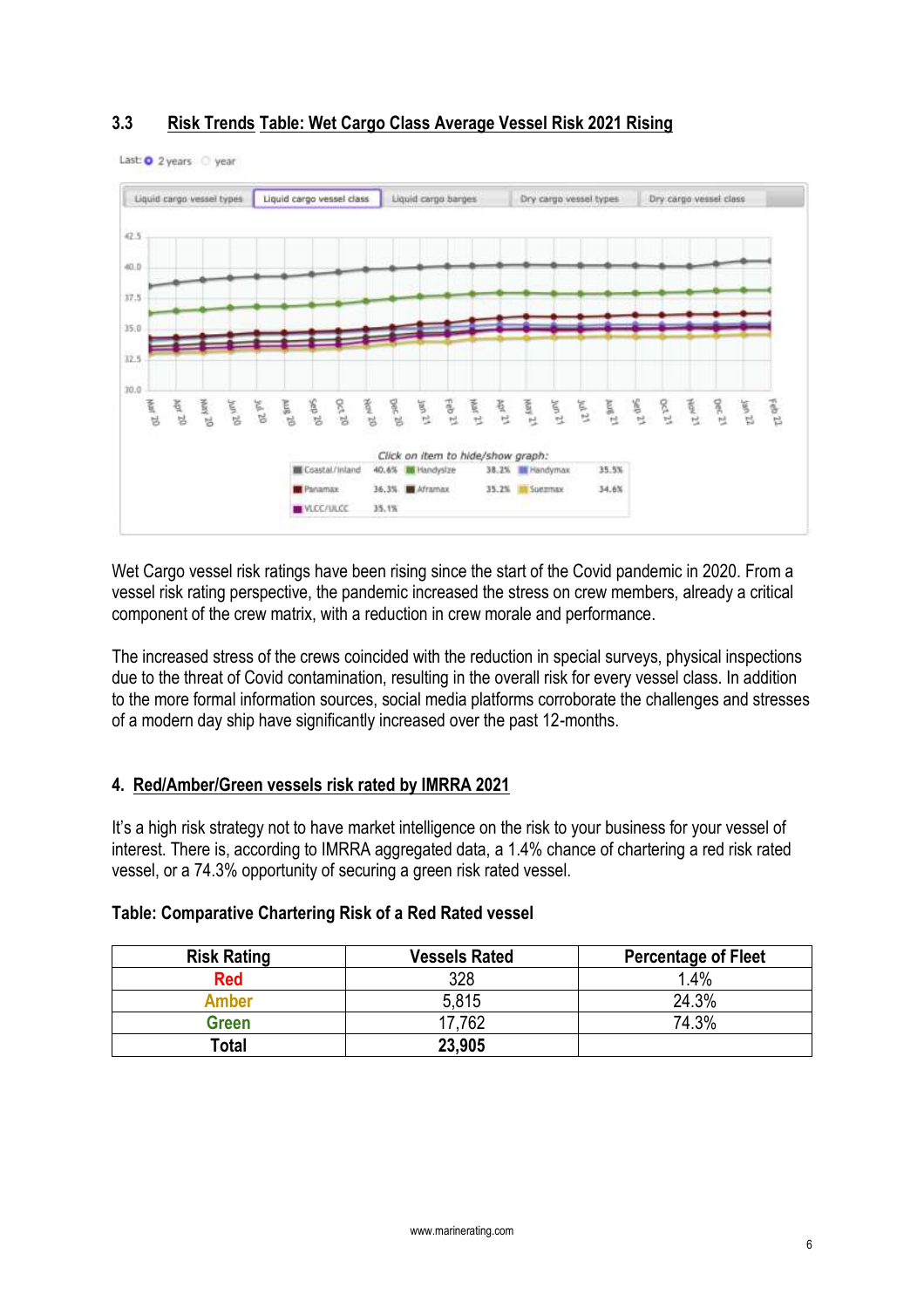## **3.3 Risk Trends Table: Wet Cargo Class Average Vessel Risk 2021 Rising**



Last: 0 2 years year

Wet Cargo vessel risk ratings have been rising since the start of the Covid pandemic in 2020. From a vessel risk rating perspective, the pandemic increased the stress on crew members, already a critical component of the crew matrix, with a reduction in crew morale and performance.

The increased stress of the crews coincided with the reduction in special surveys, physical inspections due to the threat of Covid contamination, resulting in the overall risk for every vessel class. In addition to the more formal information sources, social media platforms corroborate the challenges and stresses of a modern day ship have significantly increased over the past 12-months.

#### **4. Red/Amber/Green vessels risk rated by IMRRA 2021**

It's a high risk strategy not to have market intelligence on the risk to your business for your vessel of interest. There is, according to IMRRA aggregated data, a 1.4% chance of chartering a red risk rated vessel, or a 74.3% opportunity of securing a green risk rated vessel.

| <b>Risk Rating</b> | <b>Vessels Rated</b> | <b>Percentage of Fleet</b> |
|--------------------|----------------------|----------------------------|
| <b>Red</b>         | 328                  | 1.4%                       |
| <b>Amber</b>       | 5.815                | 24.3%                      |
| Green              | 17,762               | 74.3%                      |
| Total              | 23,905               |                            |

#### **Table: Comparative Chartering Risk of a Red Rated vessel**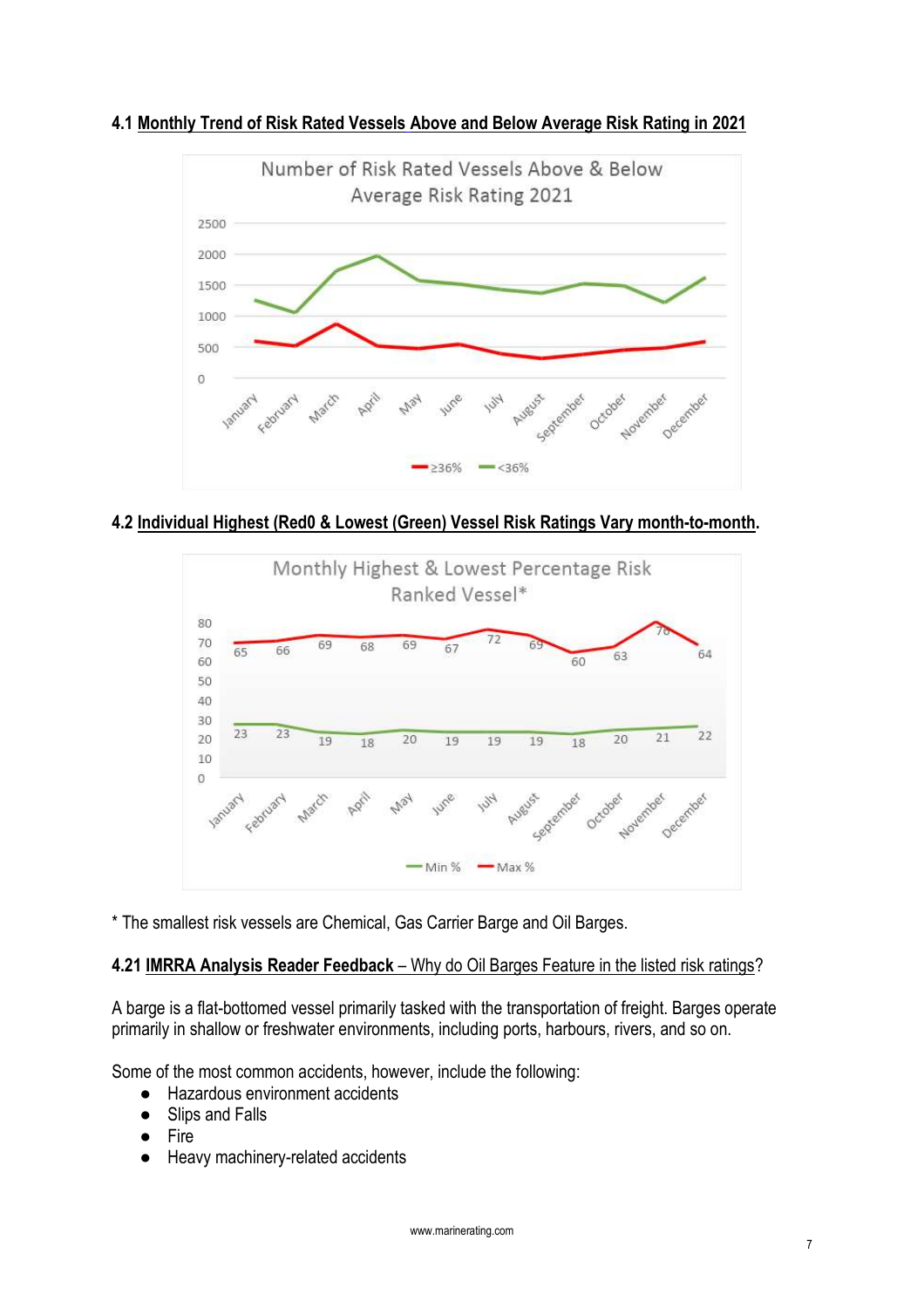



## **4.2 Individual Highest (Red0 & Lowest (Green) Vessel Risk Ratings Vary month-to-month.**



\* The smallest risk vessels are Chemical, Gas Carrier Barge and Oil Barges.

## **4.21 IMRRA Analysis Reader Feedback** – Why do Oil Barges Feature in the listed risk ratings?

A barge is a flat-bottomed vessel primarily tasked with the transportation of freight. Barges operate primarily in shallow or freshwater environments, including ports, harbours, rivers, and so on.

Some of the most common accidents, however, include the following:

- Hazardous environment accidents
- Slips and Falls
- Fire
- Heavy machinery-related accidents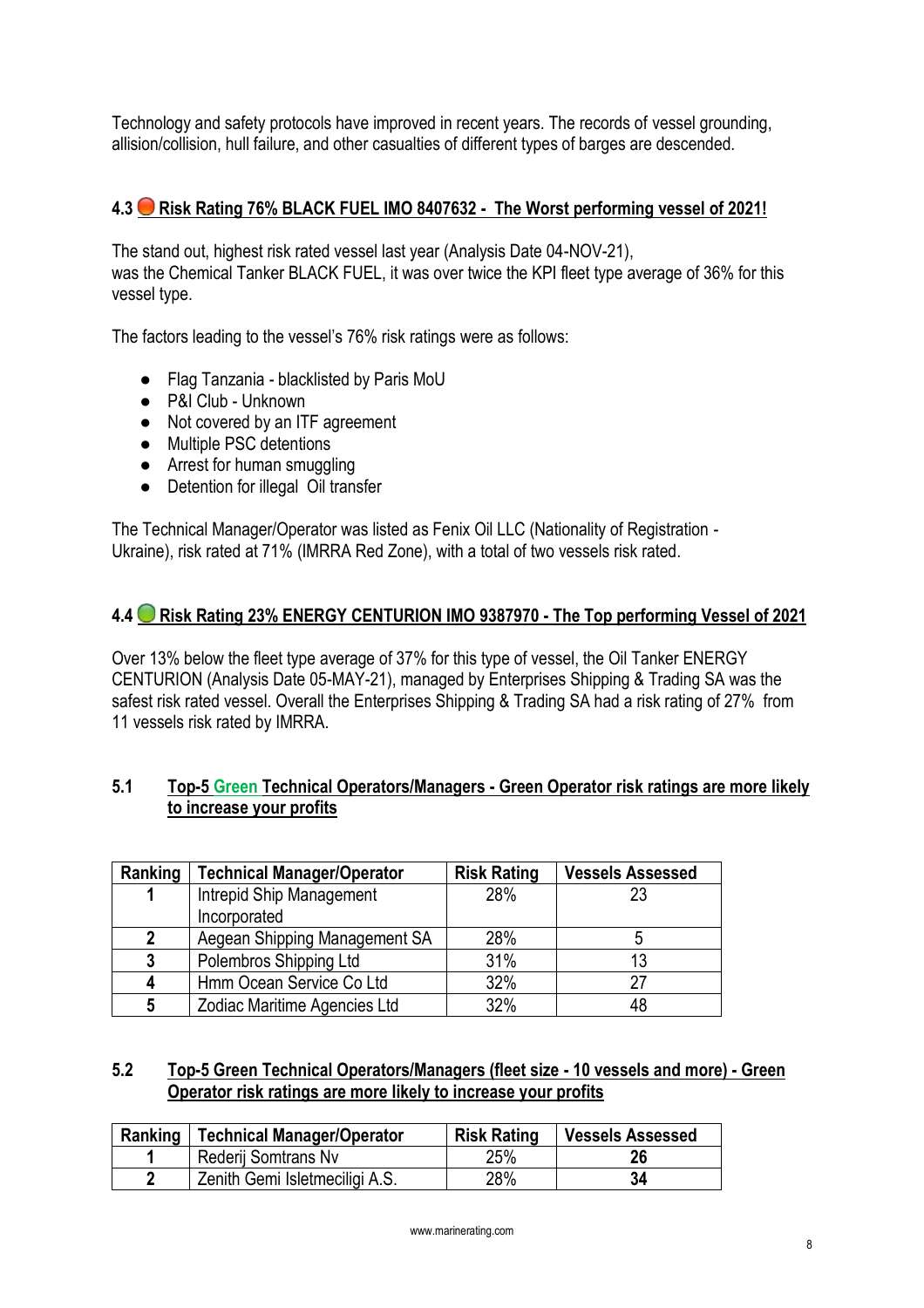Technology and safety protocols have improved in recent years. The records of vessel grounding, allision/collision, hull failure, and other casualties of different types of barges are descended.

## **4.3 Risk Rating 76% BLACK FUEL IMO 8407632 - The Worst performing vessel of 2021!**

The stand out, highest risk rated vessel last year (Analysis Date 04-NOV-21), was the Chemical Tanker BLACK FUEL, it was over twice the KPI fleet type average of 36% for this vessel type.

The factors leading to the vessel's 76% risk ratings were as follows:

- Flag Tanzania blacklisted by Paris MoU
- P&I Club Unknown
- Not covered by an ITF agreement
- Multiple PSC detentions
- Arrest for human smuggling
- Detention for illegal Oil transfer

The Technical Manager/Operator was listed as Fenix Oil LLC (Nationality of Registration - Ukraine), risk rated at 71% (IMRRA Red Zone), with a total of two vessels risk rated.

#### **4.4 Risk Rating 23% ENERGY CENTURION IMO 9387970 - The Top performing Vessel of 2021**

Over 13% below the fleet type average of 37% for this type of vessel, the Oil Tanker ENERGY CENTURION (Analysis Date 05-MAY-21), managed by Enterprises Shipping & Trading SA was the safest risk rated vessel. Overall the Enterprises Shipping & Trading SA had a risk rating of 27% from 11 vessels risk rated by IMRRA.

#### **5.1 Top-5 Green Technical Operators/Managers - Green Operator risk ratings are more likely to increase your profits**

| Ranking | <b>Technical Manager/Operator</b> | <b>Risk Rating</b> | <b>Vessels Assessed</b> |
|---------|-----------------------------------|--------------------|-------------------------|
| 1       | Intrepid Ship Management          | 28%                | 23                      |
|         | Incorporated                      |                    |                         |
| 2       | Aegean Shipping Management SA     | 28%                |                         |
| 3       | Polembros Shipping Ltd            | 31%                | 13                      |
| 4       | Hmm Ocean Service Co Ltd          | 32%                | 27                      |
| 5       | Zodiac Maritime Agencies Ltd      | 32%                | 48                      |

#### **5.2 Top-5 Green Technical Operators/Managers (fleet size - 10 vessels and more) - Green Operator risk ratings are more likely to increase your profits**

|   | Ranking   Technical Manager/Operator | <b>Risk Rating</b> | <b>Vessels Assessed</b> |
|---|--------------------------------------|--------------------|-------------------------|
|   | Rederij Somtrans Nv                  | 25%                | 26                      |
| c | Zenith Gemi Isletmeciligi A.S.       | 28%                | 34                      |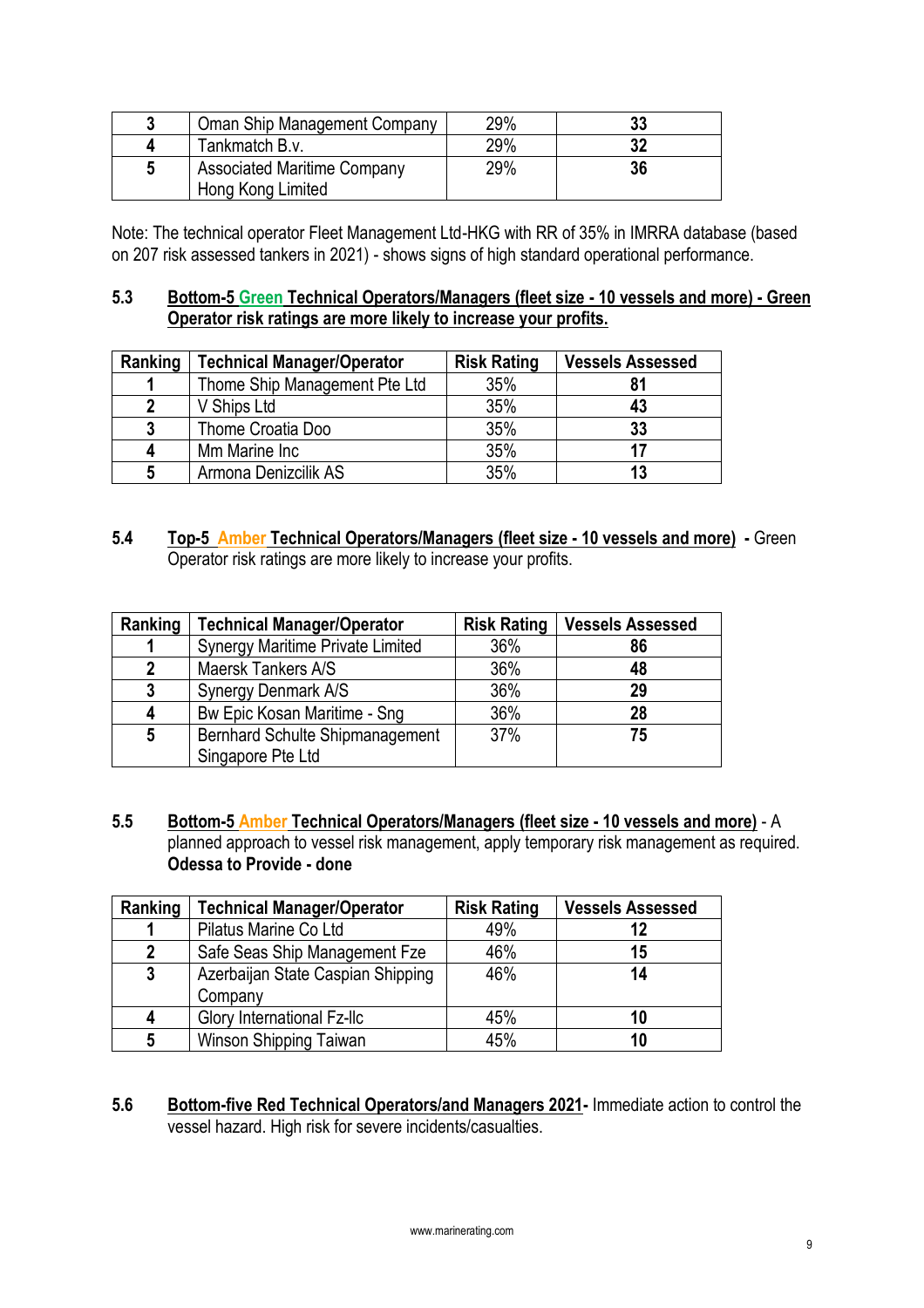| Oman Ship Management Company                            | 29% | 33 |
|---------------------------------------------------------|-----|----|
| Tankmatch B.v.                                          | 29% | 32 |
| <b>Associated Maritime Company</b><br>Hong Kong Limited | 29% | 36 |

Note: The technical operator Fleet Management Ltd-HKG with RR of 35% in IMRRA database (based on 207 risk assessed tankers in 2021) - shows signs of high standard operational performance.

#### **5.3 Bottom-5 Green Technical Operators/Managers (fleet size - 10 vessels and more) - Green Operator risk ratings are more likely to increase your profits.**

| Ranking | <b>Technical Manager/Operator</b> | <b>Risk Rating</b> | <b>Vessels Assessed</b> |
|---------|-----------------------------------|--------------------|-------------------------|
|         | Thome Ship Management Pte Ltd     | 35%                | 81                      |
|         | V Ships Ltd                       | 35%                | 43                      |
| 3       | Thome Croatia Doo                 | 35%                | 33                      |
| 4       | Mm Marine Inc                     | 35%                | 17                      |
| 5       | Armona Denizcilik AS              | 35%                | 13                      |

**5.4 Top-5 Amber Technical Operators/Managers (fleet size - 10 vessels and more) -** Green Operator risk ratings are more likely to increase your profits.

| Ranking | <b>Technical Manager/Operator</b>       | <b>Risk Rating</b> | <b>Vessels Assessed</b> |
|---------|-----------------------------------------|--------------------|-------------------------|
|         | <b>Synergy Maritime Private Limited</b> | 36%                | 86                      |
| 2       | Maersk Tankers A/S                      | 36%                | 48                      |
| 3       | Synergy Denmark A/S                     | 36%                | 29                      |
| 4       | Bw Epic Kosan Maritime - Sng            | 36%                | 28                      |
| 5       | <b>Bernhard Schulte Shipmanagement</b>  | 37%                | 75                      |
|         | Singapore Pte Ltd                       |                    |                         |

**5.5 Bottom-5 Amber Technical Operators/Managers (fleet size - 10 vessels and more)** - A planned approach to vessel risk management, apply temporary risk management as required. **Odessa to Provide - done**

| Ranking      | <b>Technical Manager/Operator</b> | <b>Risk Rating</b> | <b>Vessels Assessed</b> |
|--------------|-----------------------------------|--------------------|-------------------------|
|              | Pilatus Marine Co Ltd             | 49%                | 12                      |
| $\mathbf{2}$ | Safe Seas Ship Management Fze     | 46%                | 15                      |
| $\mathbf{3}$ | Azerbaijan State Caspian Shipping | 46%                | 14                      |
|              | Company                           |                    |                         |
| 4            | <b>Glory International Fz-Ilc</b> | 45%                | 10                      |
| 5            | Winson Shipping Taiwan            | 45%                | 10                      |

**5.6 Bottom-five Red Technical Operators/and Managers 2021-** Immediate action to control the vessel hazard. High risk for severe incidents/casualties.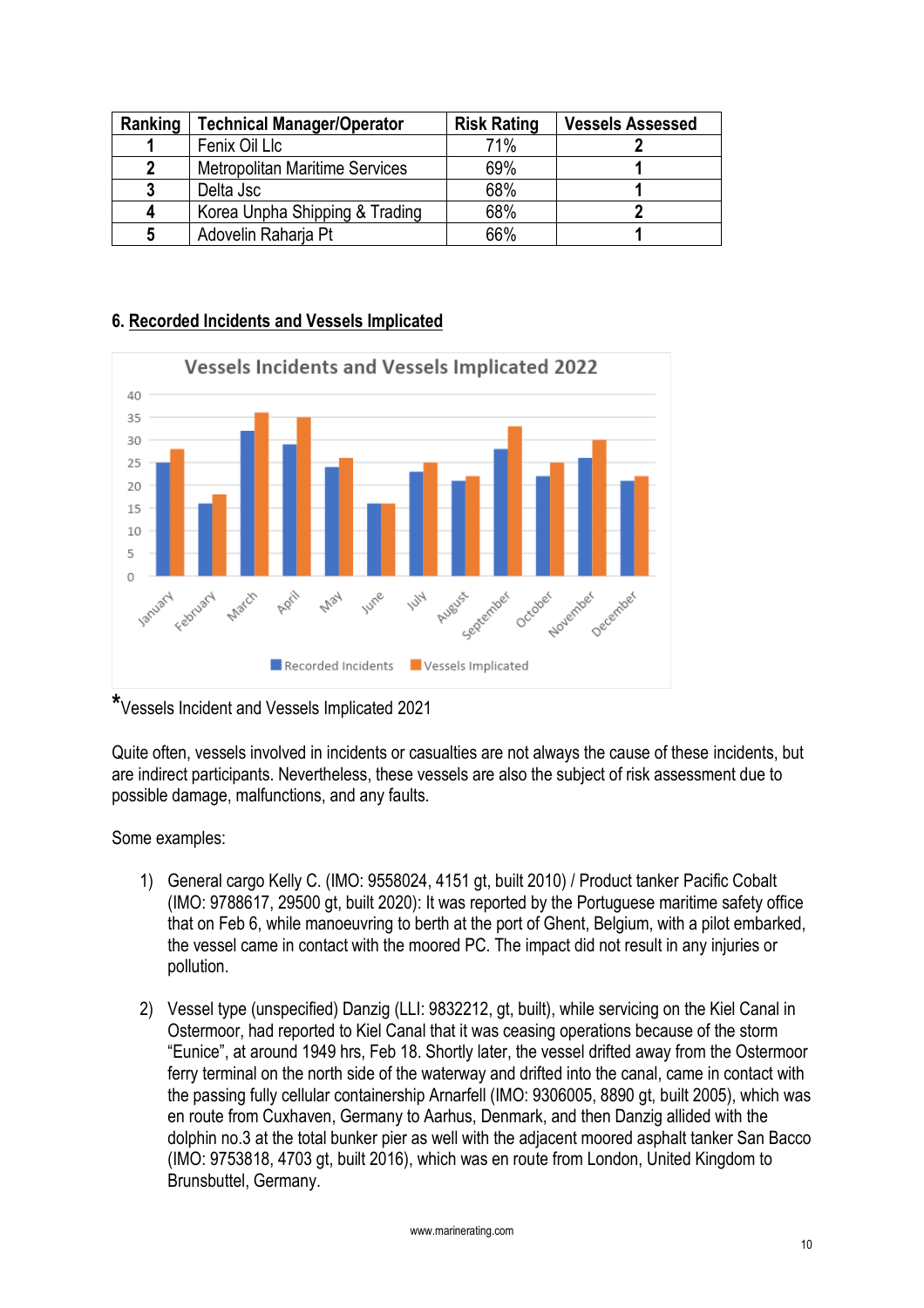| Ranking      | <b>Technical Manager/Operator</b>     | <b>Risk Rating</b> | <b>Vessels Assessed</b> |
|--------------|---------------------------------------|--------------------|-------------------------|
|              | Fenix Oil Llc                         | 71%                |                         |
| $\mathbf{2}$ | <b>Metropolitan Maritime Services</b> | 69%                |                         |
| 3            | Delta Jsc                             | 68%                |                         |
| 4            | Korea Unpha Shipping & Trading        | 68%                |                         |
| 5            | Adovelin Raharja Pt                   | 66%                |                         |

## **6. Recorded Incidents and Vessels Implicated**



**\***Vessels Incident and Vessels Implicated 2021

Quite often, vessels involved in incidents or casualties are not always the cause of these incidents, but are indirect participants. Nevertheless, these vessels are also the subject of risk assessment due to possible damage, malfunctions, and any faults.

Some examples:

- 1) General cargo Kelly C. (IMO: 9558024, 4151 gt, built 2010) / Product tanker Pacific Cobalt (IMO: 9788617, 29500 gt, built 2020): It was reported by the Portuguese maritime safety office that on Feb 6, while manoeuvring to berth at the port of Ghent, Belgium, with a pilot embarked, the vessel came in contact with the moored PC. The impact did not result in any injuries or pollution.
- 2) Vessel type (unspecified) Danzig (LLI: 9832212, gt, built), while servicing on the Kiel Canal in Ostermoor, had reported to Kiel Canal that it was ceasing operations because of the storm "Eunice", at around 1949 hrs, Feb 18. Shortly later, the vessel drifted away from the Ostermoor ferry terminal on the north side of the waterway and drifted into the canal, came in contact with the passing fully cellular containership Arnarfell (IMO: 9306005, 8890 gt, built 2005), which was en route from Cuxhaven, Germany to Aarhus, Denmark, and then Danzig allided with the dolphin no.3 at the total bunker pier as well with the adjacent moored asphalt tanker San Bacco (IMO: 9753818, 4703 gt, built 2016), which was en route from London, United Kingdom to Brunsbuttel, Germany.